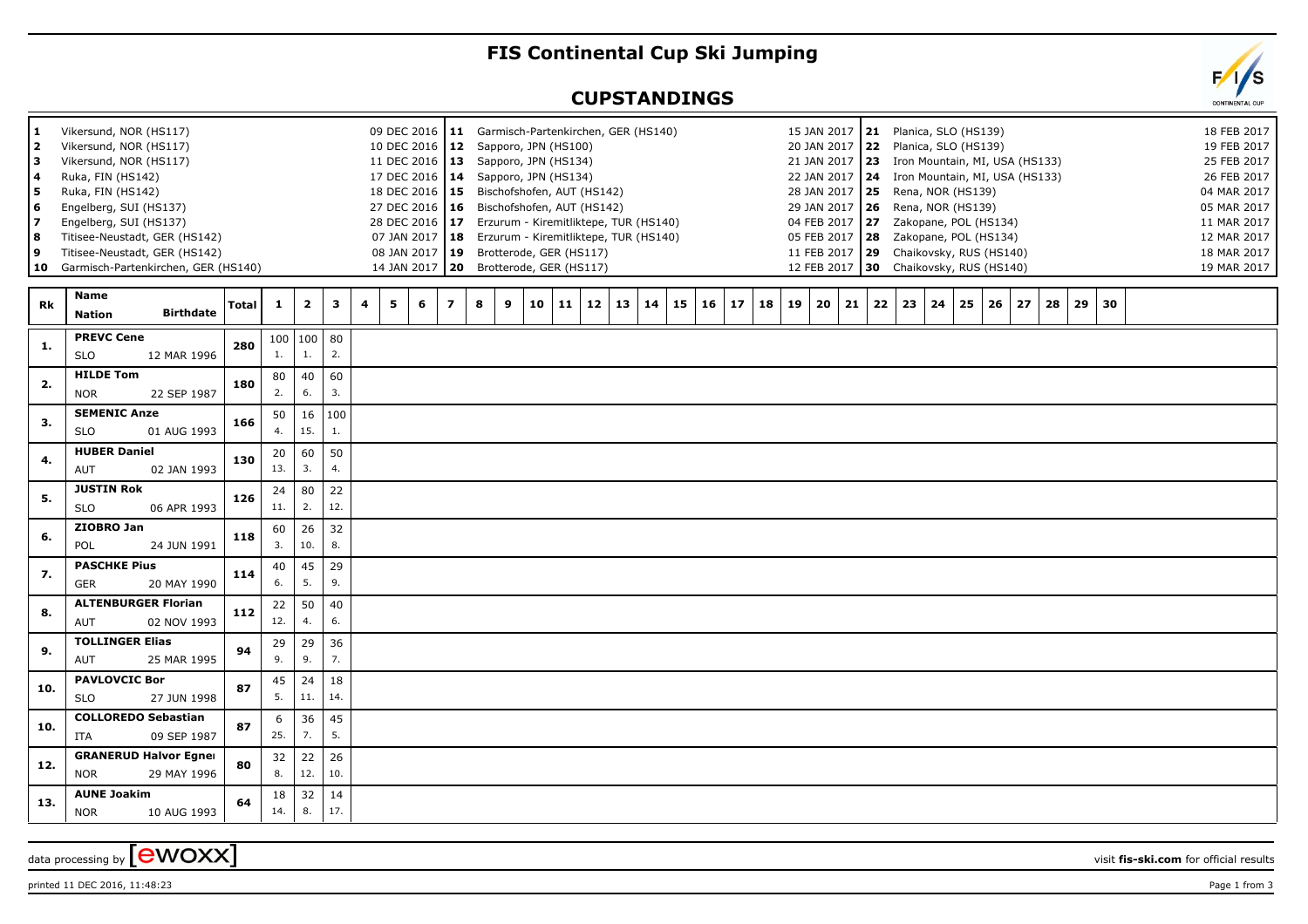## **FIS Continental Cup Ski Jumping**

## **CUPSTANDINGS**

| 1<br>2<br>з<br>4<br>5<br>6 | Vikersund, NOR (HS117)<br>Vikersund, NOR (HS117)<br>Vikersund, NOR (HS117)<br>Ruka, FIN (HS142)<br>Ruka, FIN (HS142)<br>Engelberg, SUI (HS137) |              |           |                           |           | 10 DEC 2016<br>17 DEC 2016 14<br>27 DEC 2016   16        | 09 DEC 2016   11 Garmisch-Partenkirchen, GER (HS140)<br>12 Sapporo, JPN (HS100)<br>11 DEC 2016   13 Sapporo, JPN (HS134)<br>Sapporo, JPN (HS134)<br>18 DEC 2016   15 Bischofshofen, AUT (HS142)<br>Bischofshofen, AUT (HS142) |          |          |          |          | 20 JAN 2017                                       |          | 15 JAN 2017   21 Planica, SLO (HS139)<br>22 Planica, SLO (HS139)<br>21 JAN 2017   23 Iron Mountain, MI, USA (HS133)<br>22 JAN 2017 24 Iron Mountain, MI, USA (HS133)<br>28 JAN 2017   25 Rena, NOR (HS139)<br>29 JAN 2017   26 Rena, NOR (HS139) |          |          | 18 FEB 2017<br>19 FEB 2017<br>25 FEB 2017<br>26 FEB 2017<br>04 MAR 2017<br>05 MAR 2017 |
|----------------------------|------------------------------------------------------------------------------------------------------------------------------------------------|--------------|-----------|---------------------------|-----------|----------------------------------------------------------|-------------------------------------------------------------------------------------------------------------------------------------------------------------------------------------------------------------------------------|----------|----------|----------|----------|---------------------------------------------------|----------|--------------------------------------------------------------------------------------------------------------------------------------------------------------------------------------------------------------------------------------------------|----------|----------|----------------------------------------------------------------------------------------|
| 8<br>9                     | Engelberg, SUI (HS137)<br>Titisee-Neustadt, GER (HS142)<br>Titisee-Neustadt, GER (HS142)<br>10 Garmisch-Partenkirchen, GER (HS140)             |              |           |                           |           | 28 DEC 2016<br>07 JAN 2017<br>08 JAN 2017<br>14 JAN 2017 | 17 Erzurum - Kiremitliktepe, TUR (HS140)<br><b>18</b> Erzurum - Kiremitliktepe, TUR (HS140)<br>19 Brotterode, GER (HS117)<br>20 Brotterode, GER (HS117)                                                                       |          |          |          |          | 05 FEB 2017   28<br>11 FEB 2017 29<br>12 FEB 2017 |          | 04 FEB 2017 27 Zakopane, POL (HS134)<br>Zakopane, POL (HS134)<br>Chaikovsky, RUS (HS140)<br>30 Chaikovsky, RUS (HS140)                                                                                                                           |          |          | 11 MAR 2017<br>12 MAR 2017<br>18 MAR 2017<br>19 MAR 2017                               |
| Rk                         | Name<br><b>Birthdate</b><br><b>Nation</b>                                                                                                      | <b>Total</b> | 1         | $\overline{\mathbf{2}}$   | 3         | 4<br>5<br>6<br>$\overline{\phantom{a}}$                  | 8<br>9<br>10                                                                                                                                                                                                                  | 11<br>12 | 13<br>14 | 16<br>15 | 18<br>17 | 19<br>20                                          | 21<br>22 | 23<br>24<br>25<br>26                                                                                                                                                                                                                             | 27<br>28 | 29<br>30 |                                                                                        |
| 1.                         | <b>PREVC Cene</b><br><b>SLO</b><br>12 MAR 1996                                                                                                 | 280          | 100<br>1. | $\vert$ 100 $\vert$<br>1. | 80<br>2.  |                                                          |                                                                                                                                                                                                                               |          |          |          |          |                                                   |          |                                                                                                                                                                                                                                                  |          |          |                                                                                        |
| 2.                         | <b>HILDE Tom</b><br><b>NOR</b><br>22 SEP 1987                                                                                                  | 180          | 80<br>2.  | 40<br>6.                  | 60<br>3.  |                                                          |                                                                                                                                                                                                                               |          |          |          |          |                                                   |          |                                                                                                                                                                                                                                                  |          |          |                                                                                        |
| 3.                         | <b>SEMENIC Anze</b><br><b>SLO</b><br>01 AUG 1993                                                                                               | 166          | 50<br>4.  | 16<br>15.                 | 100<br>1. |                                                          |                                                                                                                                                                                                                               |          |          |          |          |                                                   |          |                                                                                                                                                                                                                                                  |          |          |                                                                                        |
| 4.                         | <b>HUBER Daniel</b><br>AUT<br>02 JAN 1993                                                                                                      | 130          | 20<br>13. | 60<br>3.                  | 50<br>4.  |                                                          |                                                                                                                                                                                                                               |          |          |          |          |                                                   |          |                                                                                                                                                                                                                                                  |          |          |                                                                                        |
| 5.                         | <b>JUSTIN Rok</b><br><b>SLO</b><br>06 APR 1993                                                                                                 | 126          | 24<br>11. | 80<br>2.                  | 22<br>12. |                                                          |                                                                                                                                                                                                                               |          |          |          |          |                                                   |          |                                                                                                                                                                                                                                                  |          |          |                                                                                        |
| 6.                         | ZIOBRO Jan<br>POL<br>24 JUN 1991                                                                                                               | 118          | 60<br>3.  | 26<br>10.                 | 32<br>8.  |                                                          |                                                                                                                                                                                                                               |          |          |          |          |                                                   |          |                                                                                                                                                                                                                                                  |          |          |                                                                                        |
| 7.                         | <b>PASCHKE Pius</b><br>GER<br>20 MAY 1990                                                                                                      | 114          | 40<br>6.  | 45<br>5.                  | 29<br>9.  |                                                          |                                                                                                                                                                                                                               |          |          |          |          |                                                   |          |                                                                                                                                                                                                                                                  |          |          |                                                                                        |
| 8.                         | <b>ALTENBURGER Florian</b><br>AUT<br>02 NOV 1993                                                                                               | 112          | 22<br>12. | 50<br>4.                  | 40<br>6.  |                                                          |                                                                                                                                                                                                                               |          |          |          |          |                                                   |          |                                                                                                                                                                                                                                                  |          |          |                                                                                        |
| 9.                         | <b>TOLLINGER Elias</b><br>AUT<br>25 MAR 1995                                                                                                   | 94           | 29<br>9.  | 29<br>9.                  | 36<br>7.  |                                                          |                                                                                                                                                                                                                               |          |          |          |          |                                                   |          |                                                                                                                                                                                                                                                  |          |          |                                                                                        |
| 10.                        | <b>PAVLOVCIC Bor</b><br><b>SLO</b><br>27 JUN 1998                                                                                              | 87           | 45<br>5.  | 24<br>11.                 | 18<br>14. |                                                          |                                                                                                                                                                                                                               |          |          |          |          |                                                   |          |                                                                                                                                                                                                                                                  |          |          |                                                                                        |
| 10.                        | <b>COLLOREDO Sebastian</b><br>ITA<br>09 SEP 1987                                                                                               | 87           | 6<br>25.  | 36<br>7.                  | 45<br>5.  |                                                          |                                                                                                                                                                                                                               |          |          |          |          |                                                   |          |                                                                                                                                                                                                                                                  |          |          |                                                                                        |
| 12.                        | <b>GRANERUD Halvor Egner</b><br><b>NOR</b><br>29 MAY 1996                                                                                      | 80           | 32<br>8.  | 22<br>12.                 | 26<br>10. |                                                          |                                                                                                                                                                                                                               |          |          |          |          |                                                   |          |                                                                                                                                                                                                                                                  |          |          |                                                                                        |
| 13.                        | <b>AUNE Joakim</b><br><b>NOR</b><br>10 AUG 1993                                                                                                | 64           | 18<br>14. | 32<br>8.                  | 14<br>17. |                                                          |                                                                                                                                                                                                                               |          |          |          |          |                                                   |          |                                                                                                                                                                                                                                                  |          |          |                                                                                        |
|                            |                                                                                                                                                |              |           |                           |           |                                                          |                                                                                                                                                                                                                               |          |          |          |          |                                                   |          |                                                                                                                                                                                                                                                  |          |          |                                                                                        |

printed 11 DEC 2016, 11:48:23 Page 1 from 3

data processing by **CWOXX** wisit **fis-ski.com** for official results

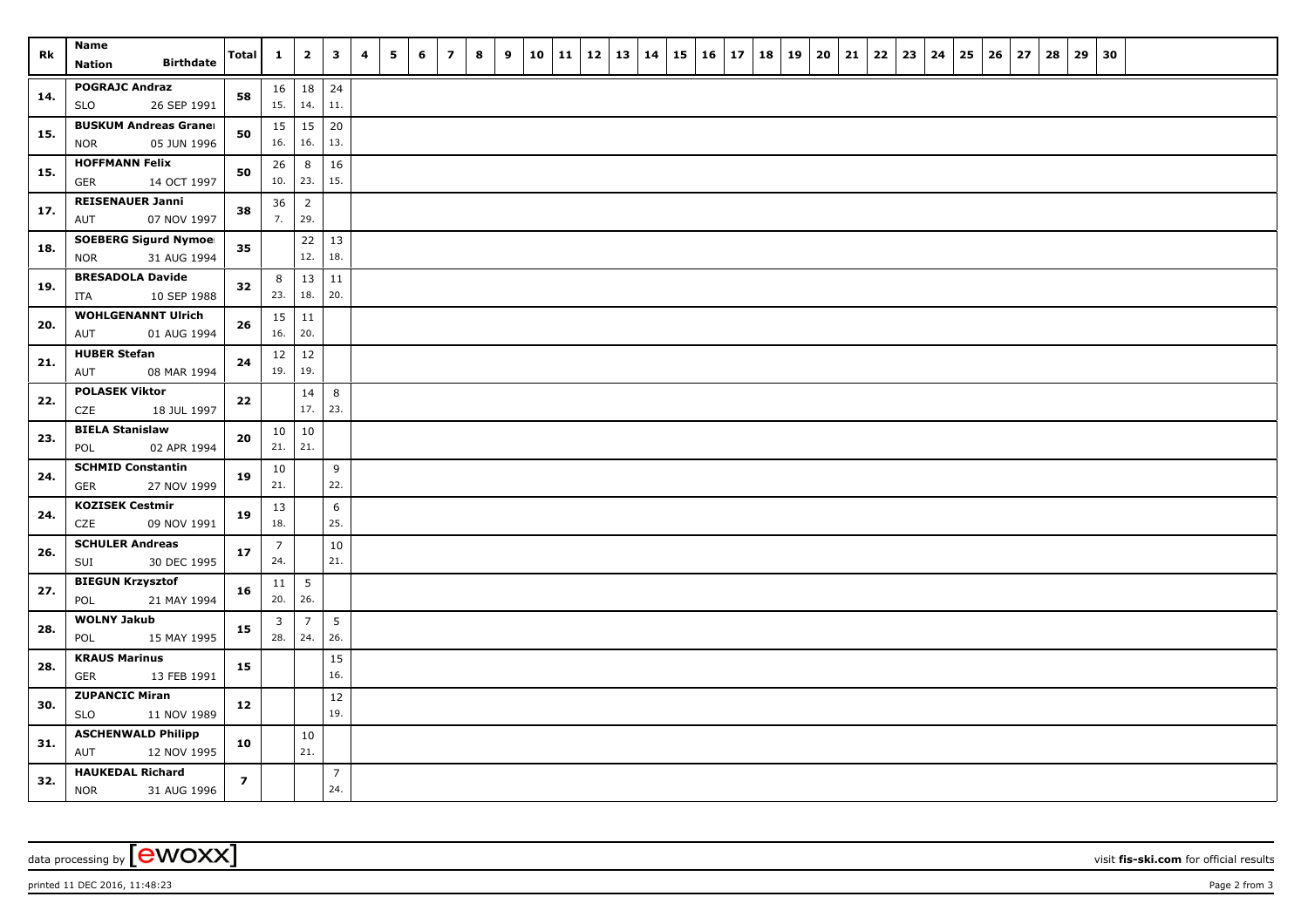| Rk  | Name<br><b>Birthdate</b><br><b>Nation</b>          | Total                   | $\mathbf{1}$        | $\overline{\mathbf{2}}$ | $\mathbf{3}$   | 4 | 5 | 6 | $\overline{\mathbf{z}}$ | 8 | 9 | 10 | 11 | $12$ | 13 | 14 | 15 | 16 | 17 | 18 | 19 | 20 | 21 | 22 | 23 | 24 | 25 | 26 | 27 | 28 | 29 | 30 |  |  |  |
|-----|----------------------------------------------------|-------------------------|---------------------|-------------------------|----------------|---|---|---|-------------------------|---|---|----|----|------|----|----|----|----|----|----|----|----|----|----|----|----|----|----|----|----|----|----|--|--|--|
|     |                                                    |                         |                     |                         |                |   |   |   |                         |   |   |    |    |      |    |    |    |    |    |    |    |    |    |    |    |    |    |    |    |    |    |    |  |  |  |
| 14. | <b>POGRAJC Andraz</b><br>26 SEP 1991<br><b>SLO</b> | 58                      | $16 \mid 18$<br>15. | $\vert$ 14.             | 24<br>11.      |   |   |   |                         |   |   |    |    |      |    |    |    |    |    |    |    |    |    |    |    |    |    |    |    |    |    |    |  |  |  |
|     | <b>BUSKUM Andreas Graner</b>                       |                         | $15 \mid 15$        |                         | 20             |   |   |   |                         |   |   |    |    |      |    |    |    |    |    |    |    |    |    |    |    |    |    |    |    |    |    |    |  |  |  |
| 15. | 05 JUN 1996<br><b>NOR</b>                          | 50                      | 16.                 | 16.                     | 13.            |   |   |   |                         |   |   |    |    |      |    |    |    |    |    |    |    |    |    |    |    |    |    |    |    |    |    |    |  |  |  |
|     | <b>HOFFMANN Felix</b>                              |                         | 26                  | 8                       | 16             |   |   |   |                         |   |   |    |    |      |    |    |    |    |    |    |    |    |    |    |    |    |    |    |    |    |    |    |  |  |  |
| 15. | <b>GER</b><br>14 OCT 1997                          | 50                      | $10.$ 23.           |                         | 15.            |   |   |   |                         |   |   |    |    |      |    |    |    |    |    |    |    |    |    |    |    |    |    |    |    |    |    |    |  |  |  |
| 17. | <b>REISENAUER Janni</b>                            | 38                      | 36                  | $\overline{2}$          |                |   |   |   |                         |   |   |    |    |      |    |    |    |    |    |    |    |    |    |    |    |    |    |    |    |    |    |    |  |  |  |
|     | 07 NOV 1997<br>AUT                                 |                         | 7.                  | 29.                     |                |   |   |   |                         |   |   |    |    |      |    |    |    |    |    |    |    |    |    |    |    |    |    |    |    |    |    |    |  |  |  |
| 18. | <b>SOEBERG Sigurd Nymoel</b>                       | 35                      |                     | 22                      | 13             |   |   |   |                         |   |   |    |    |      |    |    |    |    |    |    |    |    |    |    |    |    |    |    |    |    |    |    |  |  |  |
|     | 31 AUG 1994<br><b>NOR</b>                          |                         |                     | 12.                     | 18.            |   |   |   |                         |   |   |    |    |      |    |    |    |    |    |    |    |    |    |    |    |    |    |    |    |    |    |    |  |  |  |
| 19. | <b>BRESADOLA Davide</b>                            | 32                      | 8                   | 13                      | $11\,$         |   |   |   |                         |   |   |    |    |      |    |    |    |    |    |    |    |    |    |    |    |    |    |    |    |    |    |    |  |  |  |
|     | 10 SEP 1988<br>ITA                                 |                         | 23.                 | 18.                     | 20.            |   |   |   |                         |   |   |    |    |      |    |    |    |    |    |    |    |    |    |    |    |    |    |    |    |    |    |    |  |  |  |
| 20. | <b>WOHLGENANNT Ulrich</b>                          | 26                      |                     | $15 \mid 11$            |                |   |   |   |                         |   |   |    |    |      |    |    |    |    |    |    |    |    |    |    |    |    |    |    |    |    |    |    |  |  |  |
|     | AUT<br>01 AUG 1994                                 |                         | 16.                 | 20.                     |                |   |   |   |                         |   |   |    |    |      |    |    |    |    |    |    |    |    |    |    |    |    |    |    |    |    |    |    |  |  |  |
| 21. | <b>HUBER Stefan</b>                                | 24                      | $12 \mid 12$<br>19. | 19.                     |                |   |   |   |                         |   |   |    |    |      |    |    |    |    |    |    |    |    |    |    |    |    |    |    |    |    |    |    |  |  |  |
|     | AUT<br>08 MAR 1994                                 |                         |                     |                         |                |   |   |   |                         |   |   |    |    |      |    |    |    |    |    |    |    |    |    |    |    |    |    |    |    |    |    |    |  |  |  |
| 22. | <b>POLASEK Viktor</b><br>CZE<br>18 JUL 1997        | ${\bf 22}$              |                     | 14<br>17.               | 8<br>23.       |   |   |   |                         |   |   |    |    |      |    |    |    |    |    |    |    |    |    |    |    |    |    |    |    |    |    |    |  |  |  |
|     | <b>BIELA Stanislaw</b>                             |                         | 10                  | 10                      |                |   |   |   |                         |   |   |    |    |      |    |    |    |    |    |    |    |    |    |    |    |    |    |    |    |    |    |    |  |  |  |
| 23. | POL<br>02 APR 1994                                 | 20                      | $21.$ 21.           |                         |                |   |   |   |                         |   |   |    |    |      |    |    |    |    |    |    |    |    |    |    |    |    |    |    |    |    |    |    |  |  |  |
|     | <b>SCHMID Constantin</b>                           | 19                      | 10                  |                         | 9              |   |   |   |                         |   |   |    |    |      |    |    |    |    |    |    |    |    |    |    |    |    |    |    |    |    |    |    |  |  |  |
| 24. | <b>GER</b><br>27 NOV 1999                          |                         | 21.                 |                         | 22.            |   |   |   |                         |   |   |    |    |      |    |    |    |    |    |    |    |    |    |    |    |    |    |    |    |    |    |    |  |  |  |
|     | <b>KOZISEK Cestmir</b>                             | 19                      | 13                  |                         | 6              |   |   |   |                         |   |   |    |    |      |    |    |    |    |    |    |    |    |    |    |    |    |    |    |    |    |    |    |  |  |  |
| 24. | CZE<br>09 NOV 1991                                 |                         | 18.                 |                         | 25.            |   |   |   |                         |   |   |    |    |      |    |    |    |    |    |    |    |    |    |    |    |    |    |    |    |    |    |    |  |  |  |
| 26. | <b>SCHULER Andreas</b>                             | 17                      | $\overline{7}$      |                         | 10             |   |   |   |                         |   |   |    |    |      |    |    |    |    |    |    |    |    |    |    |    |    |    |    |    |    |    |    |  |  |  |
|     | 30 DEC 1995<br>SUI                                 |                         | 24.                 |                         | 21.            |   |   |   |                         |   |   |    |    |      |    |    |    |    |    |    |    |    |    |    |    |    |    |    |    |    |    |    |  |  |  |
| 27. | <b>BIEGUN Krzysztof</b>                            | 16                      | 11                  | 5                       |                |   |   |   |                         |   |   |    |    |      |    |    |    |    |    |    |    |    |    |    |    |    |    |    |    |    |    |    |  |  |  |
|     | 21 MAY 1994<br>POL                                 |                         | 20.                 | 26.                     |                |   |   |   |                         |   |   |    |    |      |    |    |    |    |    |    |    |    |    |    |    |    |    |    |    |    |    |    |  |  |  |
| 28. | <b>WOLNY Jakub</b>                                 | 15                      | 3                   | $\overline{7}$          | 5              |   |   |   |                         |   |   |    |    |      |    |    |    |    |    |    |    |    |    |    |    |    |    |    |    |    |    |    |  |  |  |
|     | POL<br>15 MAY 1995                                 |                         | 28.                 | $\vert$ 24.             | 26.            |   |   |   |                         |   |   |    |    |      |    |    |    |    |    |    |    |    |    |    |    |    |    |    |    |    |    |    |  |  |  |
| 28. | <b>KRAUS Marinus</b>                               | 15                      |                     |                         | 15<br>16.      |   |   |   |                         |   |   |    |    |      |    |    |    |    |    |    |    |    |    |    |    |    |    |    |    |    |    |    |  |  |  |
|     | <b>GER</b><br>13 FEB 1991<br><b>ZUPANCIC Miran</b> |                         |                     |                         |                |   |   |   |                         |   |   |    |    |      |    |    |    |    |    |    |    |    |    |    |    |    |    |    |    |    |    |    |  |  |  |
| 30. | <b>SLO</b><br>11 NOV 1989                          | 12                      |                     |                         | 12<br>19.      |   |   |   |                         |   |   |    |    |      |    |    |    |    |    |    |    |    |    |    |    |    |    |    |    |    |    |    |  |  |  |
|     | <b>ASCHENWALD Philipp</b>                          |                         |                     | 10                      |                |   |   |   |                         |   |   |    |    |      |    |    |    |    |    |    |    |    |    |    |    |    |    |    |    |    |    |    |  |  |  |
| 31. | 12 NOV 1995<br>AUT                                 | 10                      |                     | 21.                     |                |   |   |   |                         |   |   |    |    |      |    |    |    |    |    |    |    |    |    |    |    |    |    |    |    |    |    |    |  |  |  |
|     | <b>HAUKEDAL Richard</b>                            |                         |                     |                         | $\overline{7}$ |   |   |   |                         |   |   |    |    |      |    |    |    |    |    |    |    |    |    |    |    |    |    |    |    |    |    |    |  |  |  |
| 32. | <b>NOR</b><br>31 AUG 1996                          | $\overline{\mathbf{z}}$ |                     |                         | 24.            |   |   |   |                         |   |   |    |    |      |    |    |    |    |    |    |    |    |    |    |    |    |    |    |    |    |    |    |  |  |  |

data processing by **CWOXX** visit **fis-ski.com** for official results

printed 11 DEC 2016, 11:48:23 **Page 2** from 3